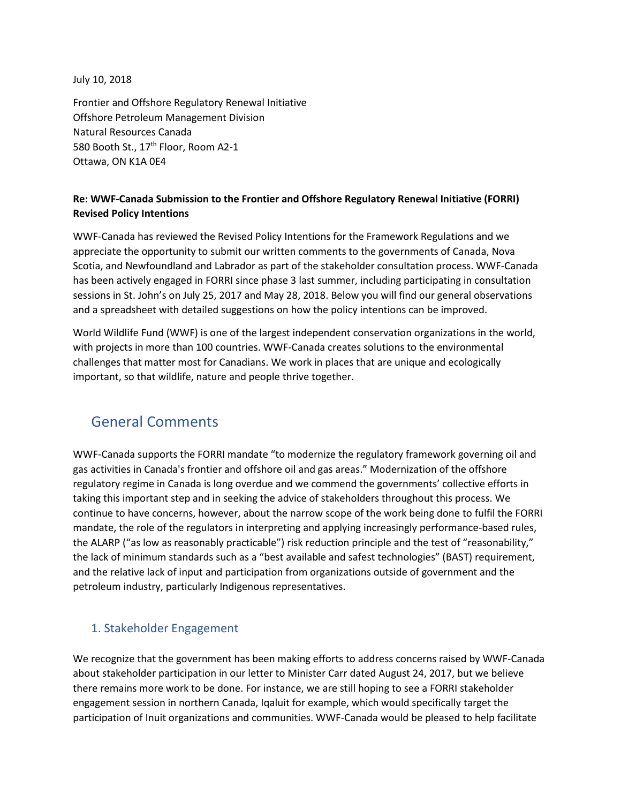July 10, 2018

Frontier and Offshore Regulatory Renewal Initiative Offshore Petroleum Management Division Natural Resources Canada 580 Booth St., 17<sup>th</sup> Floor, Room A2-1 Ottawa, ON K1A 0E4

### **Re: WWF-Canada Submission to the Frontier and Offshore Regulatory Renewal Initiative (FORRI) Revised Policy Intentions**

WWF-Canada has reviewed the Revised Policy Intentions for the Framework Regulations and we appreciate the opportunity to submit our written comments to the governments of Canada, Nova Scotia, and Newfoundland and Labrador as part of the stakeholder consultation process. WWF-Canada has been actively engaged in FORRI since phase 3 last summer, including participating in consultation sessions in St. John's on July 25, 2017 and May 28, 2018. Below you will find our general observations and a spreadsheet with detailed suggestions on how the policy intentions can be improved.

World Wildlife Fund (WWF) is one of the largest independent conservation organizations in the world, with projects in more than 100 countries. WWF-Canada creates solutions to the environmental challenges that matter most for Canadians. We work in places that are unique and ecologically important, so that wildlife, nature and people thrive together.

## General Comments

WWF-Canada supports the FORRI mandate "to modernize the regulatory framework governing oil and gas activities in Canada's frontier and offshore oil and gas areas." Modernization of the offshore regulatory regime in Canada is long overdue and we commend the governments' collective efforts in taking this important step and in seeking the advice of stakeholders throughout this process. We continue to have concerns, however, about the narrow scope of the work being done to fulfil the FORRI mandate, the role of the regulators in interpreting and applying increasingly performance-based rules, the ALARP ("as low as reasonably practicable") risk reduction principle and the test of "reasonability," the lack of minimum standards such as a "best available and safest technologies" (BAST) requirement, and the relative lack of input and participation from organizations outside of government and the petroleum industry, particularly Indigenous representatives.

## 1. Stakeholder Engagement

We recognize that the government has been making efforts to address concerns raised by WWF-Canada about stakeholder participation in our letter to Minister Carr dated August 24, 2017, but we believe there remains more work to be done. For instance, we are still hoping to see a FORRI stakeholder engagement session in northern Canada, Iqaluit for example, which would specifically target the participation of Inuit organizations and communities. WWF-Canada would be pleased to help facilitate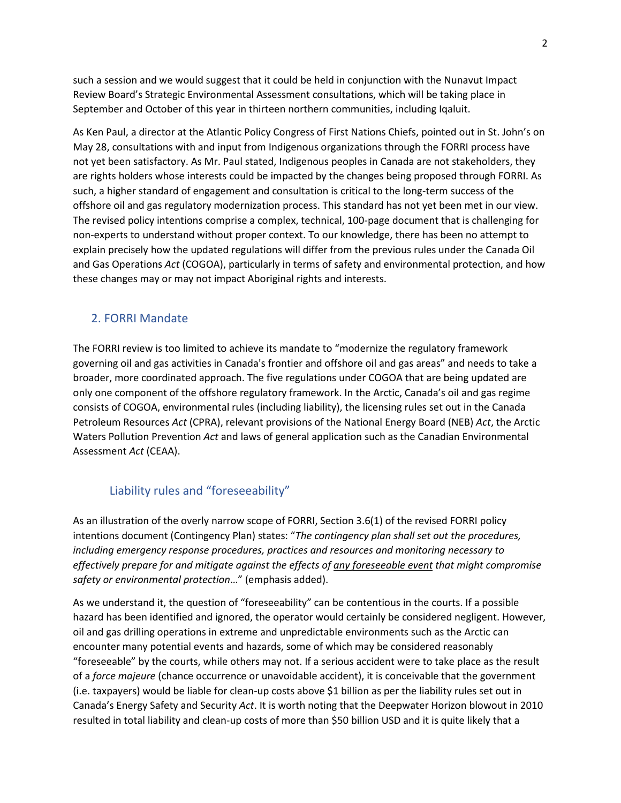such a session and we would suggest that it could be held in conjunction with the Nunavut Impact Review Board's Strategic Environmental Assessment consultations, which will be taking place in September and October of this year in thirteen northern communities, including Iqaluit.

As Ken Paul, a director at the Atlantic Policy Congress of First Nations Chiefs, pointed out in St. John's on May 28, consultations with and input from Indigenous organizations through the FORRI process have not yet been satisfactory. As Mr. Paul stated, Indigenous peoples in Canada are not stakeholders, they are rights holders whose interests could be impacted by the changes being proposed through FORRI. As such, a higher standard of engagement and consultation is critical to the long-term success of the offshore oil and gas regulatory modernization process. This standard has not yet been met in our view. The revised policy intentions comprise a complex, technical, 100-page document that is challenging for non-experts to understand without proper context. To our knowledge, there has been no attempt to explain precisely how the updated regulations will differ from the previous rules under the Canada Oil and Gas Operations *Act* (COGOA), particularly in terms of safety and environmental protection, and how these changes may or may not impact Aboriginal rights and interests.

#### 2. FORRI Mandate

The FORRI review is too limited to achieve its mandate to "modernize the regulatory framework governing oil and gas activities in Canada's frontier and offshore oil and gas areas" and needs to take a broader, more coordinated approach. The five regulations under COGOA that are being updated are only one component of the offshore regulatory framework. In the Arctic, Canada's oil and gas regime consists of COGOA, environmental rules (including liability), the licensing rules set out in the Canada Petroleum Resources *Act* (CPRA), relevant provisions of the National Energy Board (NEB) *Act*, the Arctic Waters Pollution Prevention *Act* and laws of general application such as the Canadian Environmental Assessment *Act* (CEAA).

### Liability rules and "foreseeability"

As an illustration of the overly narrow scope of FORRI, Section 3.6(1) of the revised FORRI policy intentions document (Contingency Plan) states: "*The contingency plan shall set out the procedures, including emergency response procedures, practices and resources and monitoring necessary to effectively prepare for and mitigate against the effects of any foreseeable event that might compromise safety or environmental protection*…" (emphasis added).

As we understand it, the question of "foreseeability" can be contentious in the courts. If a possible hazard has been identified and ignored, the operator would certainly be considered negligent. However, oil and gas drilling operations in extreme and unpredictable environments such as the Arctic can encounter many potential events and hazards, some of which may be considered reasonably "foreseeable" by the courts, while others may not. If a serious accident were to take place as the result of a *force majeure* (chance occurrence or unavoidable accident), it is conceivable that the government (i.e. taxpayers) would be liable for clean-up costs above \$1 billion as per the liability rules set out in Canada's Energy Safety and Security *Act*. It is worth noting that the Deepwater Horizon blowout in 2010 resulted in total liability and clean-up costs of more than \$50 billion USD and it is quite likely that a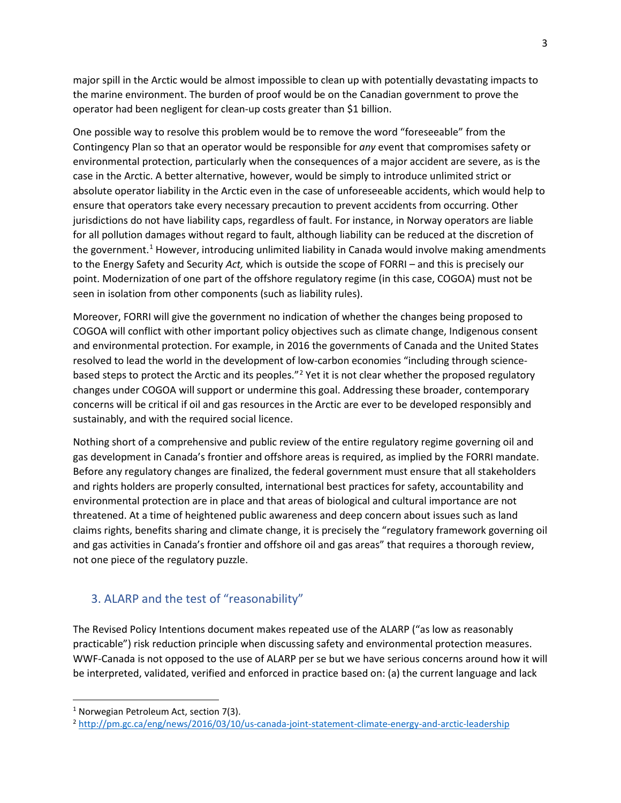major spill in the Arctic would be almost impossible to clean up with potentially devastating impacts to the marine environment. The burden of proof would be on the Canadian government to prove the operator had been negligent for clean-up costs greater than \$1 billion.

One possible way to resolve this problem would be to remove the word "foreseeable" from the Contingency Plan so that an operator would be responsible for *any* event that compromises safety or environmental protection, particularly when the consequences of a major accident are severe, as is the case in the Arctic. A better alternative, however, would be simply to introduce unlimited strict or absolute operator liability in the Arctic even in the case of unforeseeable accidents, which would help to ensure that operators take every necessary precaution to prevent accidents from occurring. Other jurisdictions do not have liability caps, regardless of fault. For instance, in Norway operators are liable for all pollution damages without regard to fault, although liability can be reduced at the discretion of the government.<sup>1</sup> However, introducing unlimited liability in Canada would involve making amendments to the Energy Safety and Security *Act,* which is outside the scope of FORRI – and this is precisely our point. Modernization of one part of the offshore regulatory regime (in this case, COGOA) must not be seen in isolation from other components (such as liability rules).

Moreover, FORRI will give the government no indication of whether the changes being proposed to COGOA will conflict with other important policy objectives such as climate change, Indigenous consent and environmental protection. For example, in 2016 the governments of Canada and the United States resolved to lead the world in the development of low-carbon economies "including through science-based steps to protect the Arctic and its peoples."<sup>[2](#page-2-1)</sup> Yet it is not clear whether the proposed regulatory changes under COGOA will support or undermine this goal. Addressing these broader, contemporary concerns will be critical if oil and gas resources in the Arctic are ever to be developed responsibly and sustainably, and with the required social licence.

Nothing short of a comprehensive and public review of the entire regulatory regime governing oil and gas development in Canada's frontier and offshore areas is required, as implied by the FORRI mandate. Before any regulatory changes are finalized, the federal government must ensure that all stakeholders and rights holders are properly consulted, international best practices for safety, accountability and environmental protection are in place and that areas of biological and cultural importance are not threatened. At a time of heightened public awareness and deep concern about issues such as land claims rights, benefits sharing and climate change, it is precisely the "regulatory framework governing oil and gas activities in Canada's frontier and offshore oil and gas areas" that requires a thorough review, not one piece of the regulatory puzzle.

### 3. ALARP and the test of "reasonability"

The Revised Policy Intentions document makes repeated use of the ALARP ("as low as reasonably practicable") risk reduction principle when discussing safety and environmental protection measures. WWF-Canada is not opposed to the use of ALARP per se but we have serious concerns around how it will be interpreted, validated, verified and enforced in practice based on: (a) the current language and lack

<span id="page-2-0"></span><sup>&</sup>lt;sup>1</sup> Norwegian Petroleum Act, section 7(3).

<span id="page-2-1"></span><sup>2</sup> <http://pm.gc.ca/eng/news/2016/03/10/us-canada-joint-statement-climate-energy-and-arctic-leadership>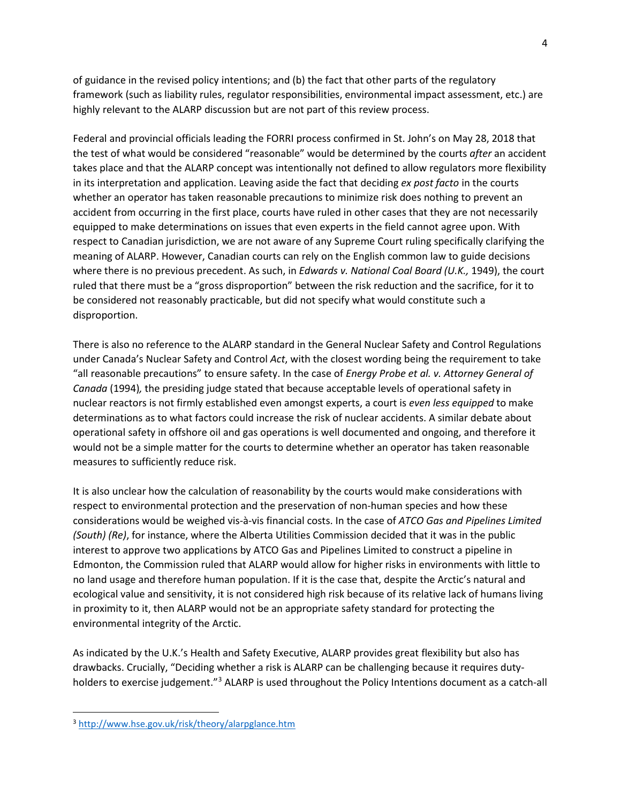of guidance in the revised policy intentions; and (b) the fact that other parts of the regulatory framework (such as liability rules, regulator responsibilities, environmental impact assessment, etc.) are highly relevant to the ALARP discussion but are not part of this review process.

Federal and provincial officials leading the FORRI process confirmed in St. John's on May 28, 2018 that the test of what would be considered "reasonable" would be determined by the courts *after* an accident takes place and that the ALARP concept was intentionally not defined to allow regulators more flexibility in its interpretation and application. Leaving aside the fact that deciding *ex post facto* in the courts whether an operator has taken reasonable precautions to minimize risk does nothing to prevent an accident from occurring in the first place, courts have ruled in other cases that they are not necessarily equipped to make determinations on issues that even experts in the field cannot agree upon. With respect to Canadian jurisdiction, we are not aware of any Supreme Court ruling specifically clarifying the meaning of ALARP. However, Canadian courts can rely on the English common law to guide decisions where there is no previous precedent. As such, in *Edwards v. National Coal Board (U.K.,* 1949), the court ruled that there must be a "gross disproportion" between the risk reduction and the sacrifice, for it to be considered not reasonably practicable, but did not specify what would constitute such a disproportion.

There is also no reference to the ALARP standard in the General Nuclear Safety and Control Regulations under Canada's Nuclear Safety and Control *Act*, with the closest wording being the requirement to take "all reasonable precautions" to ensure safety. In the case of *Energy Probe et al. v. Attorney General of Canada* (1994)*,* the presiding judge stated that because acceptable levels of operational safety in nuclear reactors is not firmly established even amongst experts, a court is *even less equipped* to make determinations as to what factors could increase the risk of nuclear accidents. A similar debate about operational safety in offshore oil and gas operations is well documented and ongoing, and therefore it would not be a simple matter for the courts to determine whether an operator has taken reasonable measures to sufficiently reduce risk.

It is also unclear how the calculation of reasonability by the courts would make considerations with respect to environmental protection and the preservation of non-human species and how these considerations would be weighed vis-à-vis financial costs. In the case of *ATCO Gas and Pipelines Limited (South) (Re)*, for instance, where the Alberta Utilities Commission decided that it was in the public interest to approve two applications by ATCO Gas and Pipelines Limited to construct a pipeline in Edmonton, the Commission ruled that ALARP would allow for higher risks in environments with little to no land usage and therefore human population. If it is the case that, despite the Arctic's natural and ecological value and sensitivity, it is not considered high risk because of its relative lack of humans living in proximity to it, then ALARP would not be an appropriate safety standard for protecting the environmental integrity of the Arctic.

As indicated by the U.K.'s Health and Safety Executive, ALARP provides great flexibility but also has drawbacks. Crucially, "Deciding whether a risk is ALARP can be challenging because it requires duty-holders to exercise judgement."<sup>[3](#page-3-0)</sup> ALARP is used throughout the Policy Intentions document as a catch-all

<span id="page-3-0"></span> <sup>3</sup> <http://www.hse.gov.uk/risk/theory/alarpglance.htm>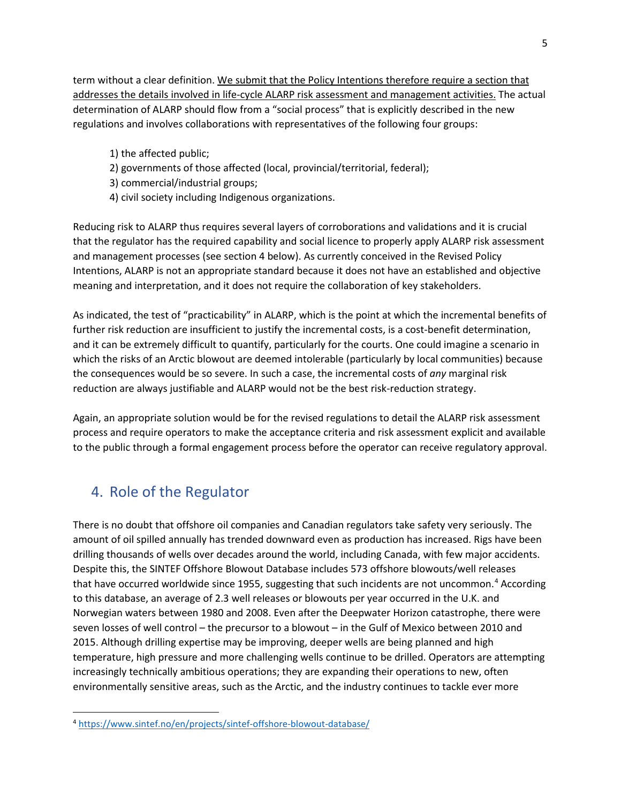term without a clear definition. We submit that the Policy Intentions therefore require a section that addresses the details involved in life-cycle ALARP risk assessment and management activities. The actual determination of ALARP should flow from a "social process" that is explicitly described in the new regulations and involves collaborations with representatives of the following four groups:

- 1) the affected public;
- 2) governments of those affected (local, provincial/territorial, federal);
- 3) commercial/industrial groups;
- 4) civil society including Indigenous organizations.

Reducing risk to ALARP thus requires several layers of corroborations and validations and it is crucial that the regulator has the required capability and social licence to properly apply ALARP risk assessment and management processes (see section 4 below). As currently conceived in the Revised Policy Intentions, ALARP is not an appropriate standard because it does not have an established and objective meaning and interpretation, and it does not require the collaboration of key stakeholders.

As indicated, the test of "practicability" in ALARP, which is the point at which the incremental benefits of further risk reduction are insufficient to justify the incremental costs, is a cost-benefit determination, and it can be extremely difficult to quantify, particularly for the courts. One could imagine a scenario in which the risks of an Arctic blowout are deemed intolerable (particularly by local communities) because the consequences would be so severe. In such a case, the incremental costs of *any* marginal risk reduction are always justifiable and ALARP would not be the best risk-reduction strategy.

Again, an appropriate solution would be for the revised regulations to detail the ALARP risk assessment process and require operators to make the acceptance criteria and risk assessment explicit and available to the public through a formal engagement process before the operator can receive regulatory approval.

## 4. Role of the Regulator

There is no doubt that offshore oil companies and Canadian regulators take safety very seriously. The amount of oil spilled annually has trended downward even as production has increased. Rigs have been drilling thousands of wells over decades around the world, including Canada, with few major accidents. Despite this, the SINTEF Offshore Blowout Database includes 573 offshore blowouts/well releases that have occurred worldwide since 1955, suggesting that such incidents are not uncommon.<sup>[4](#page-4-0)</sup> According to this database, an average of 2.3 well releases or blowouts per year occurred in the U.K. and Norwegian waters between 1980 and 2008. Even after the Deepwater Horizon catastrophe, there were seven losses of well control – the precursor to a blowout – in the Gulf of Mexico between 2010 and 2015. Although drilling expertise may be improving, deeper wells are being planned and high temperature, high pressure and more challenging wells continue to be drilled. Operators are attempting increasingly technically ambitious operations; they are expanding their operations to new, often environmentally sensitive areas, such as the Arctic, and the industry continues to tackle ever more

<span id="page-4-0"></span> <sup>4</sup> <https://www.sintef.no/en/projects/sintef-offshore-blowout-database/>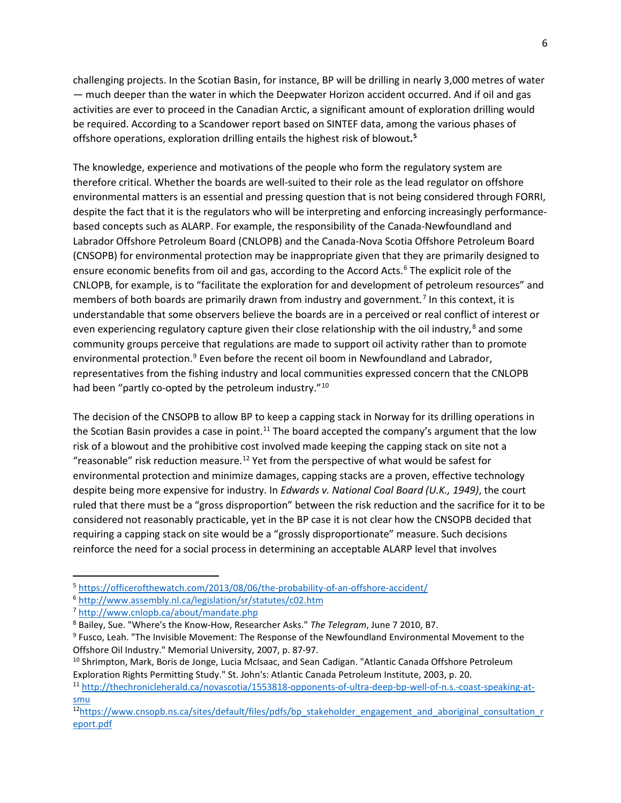challenging projects. In the Scotian Basin, for instance, BP will be drilling in nearly 3,000 metres of water — much deeper than the water in which the Deepwater Horizon accident occurred. And if oil and gas activities are ever to proceed in the Canadian Arctic, a significant amount of exploration drilling would be required. According to a Scandower report based on SINTEF data, among the various phases of offshore operations, exploration drilling entails the highest risk of blowout**. [5](#page-5-0)**

The knowledge, experience and motivations of the people who form the regulatory system are therefore critical. Whether the boards are well-suited to their role as the lead regulator on offshore environmental matters is an essential and pressing question that is not being considered through FORRI, despite the fact that it is the regulators who will be interpreting and enforcing increasingly performancebased concepts such as ALARP. For example, the responsibility of the Canada-Newfoundland and Labrador Offshore Petroleum Board (CNLOPB) and the Canada-Nova Scotia Offshore Petroleum Board (CNSOPB) for environmental protection may be inappropriate given that they are primarily designed to ensure economic benefits from oil and gas, according to the Accord Acts.<sup>[6](#page-5-1)</sup> The explicit role of the CNLOPB, for example, is to "facilitate the exploration for and development of petroleum resources" and members of both boards are primarily drawn from industry and government*.* [7](#page-5-2) In this context, it is understandable that some observers believe the boards are in a perceived or real conflict of interest or even experiencing regulatory capture given their close relationship with the oil industry*,* [8](#page-5-3) and some community groups perceive that regulations are made to support oil activity rather than to promote environmental protection.<sup>9</sup> Even before the recent oil boom in Newfoundland and Labrador, representatives from the fishing industry and local communities expressed concern that the CNLOPB had been "partly co-opted by the petroleum industry."<sup>[10](#page-5-5)</sup>

The decision of the CNSOPB to allow BP to keep a capping stack in Norway for its drilling operations in the Scotian Basin provides a case in point.<sup>[11](#page-5-6)</sup> The board accepted the company's argument that the low risk of a blowout and the prohibitive cost involved made keeping the capping stack on site not a "reasonable" risk reduction measure.<sup>[12](#page-5-7)</sup> Yet from the perspective of what would be safest for environmental protection and minimize damages, capping stacks are a proven, effective technology despite being more expensive for industry. In *Edwards v. National Coal Board (U.K., 1949)*, the court ruled that there must be a "gross disproportion" between the risk reduction and the sacrifice for it to be considered not reasonably practicable, yet in the BP case it is not clear how the CNSOPB decided that requiring a capping stack on site would be a "grossly disproportionate" measure. Such decisions reinforce the need for a social process in determining an acceptable ALARP level that involves

<span id="page-5-0"></span> <sup>5</sup> <https://officerofthewatch.com/2013/08/06/the-probability-of-an-offshore-accident/>

<span id="page-5-1"></span><sup>6</sup> <http://www.assembly.nl.ca/legislation/sr/statutes/c02.htm>

<span id="page-5-2"></span><sup>7</sup> <http://www.cnlopb.ca/about/mandate.php>

<span id="page-5-3"></span><sup>8</sup> Bailey, Sue. "Where's the Know-How, Researcher Asks." *The Telegram*, June 7 2010, B7.

<span id="page-5-4"></span><sup>9</sup> Fusco, Leah. "The Invisible Movement: The Response of the Newfoundland Environmental Movement to the Offshore Oil Industry." Memorial University, 2007, p. 87-97.

<span id="page-5-5"></span><sup>&</sup>lt;sup>10</sup> Shrimpton, Mark, Boris de Jonge, Lucia McIsaac, and Sean Cadigan. "Atlantic Canada Offshore Petroleum Exploration Rights Permitting Study." St. John's: Atlantic Canada Petroleum Institute, 2003, p. 20.<br><sup>11</sup> [http://thechronicleherald.ca/novascotia/1553818-opponents-of-ultra-deep-bp-well-of-n.s.-coast-speaking-at-](http://thechronicleherald.ca/novascotia/1553818-opponents-of-ultra-deep-bp-well-of-n.s.-coast-speaking-at-smu)

<span id="page-5-6"></span>[smu](http://thechronicleherald.ca/novascotia/1553818-opponents-of-ultra-deep-bp-well-of-n.s.-coast-speaking-at-smu)

<span id="page-5-7"></span><sup>&</sup>lt;sup>12</sup>https://www.cnsopb.ns.ca/sites/default/files/pdfs/bp\_stakeholder\_engagement\_and\_aboriginal\_consultation\_r [eport.pdf](https://www.cnsopb.ns.ca/sites/default/files/pdfs/bp_stakeholder_engagement_and_aboriginal_consultation_report.pdf)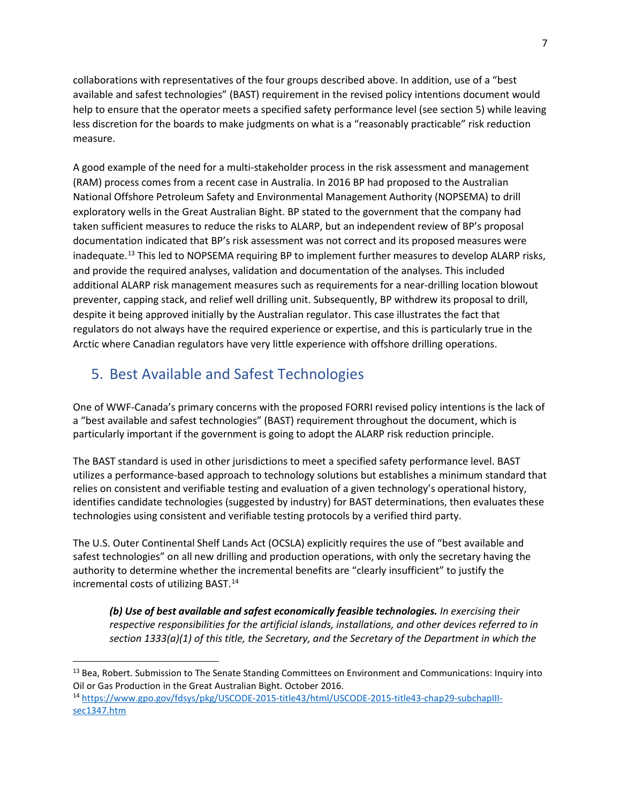collaborations with representatives of the four groups described above. In addition, use of a "best available and safest technologies" (BAST) requirement in the revised policy intentions document would help to ensure that the operator meets a specified safety performance level (see section 5) while leaving less discretion for the boards to make judgments on what is a "reasonably practicable" risk reduction measure.

A good example of the need for a multi-stakeholder process in the risk assessment and management (RAM) process comes from a recent case in Australia. In 2016 BP had proposed to the Australian National Offshore Petroleum Safety and Environmental Management Authority (NOPSEMA) to drill exploratory wells in the Great Australian Bight. BP stated to the government that the company had taken sufficient measures to reduce the risks to ALARP, but an independent review of BP's proposal documentation indicated that BP's risk assessment was not correct and its proposed measures were inadequate.<sup>[13](#page-6-0)</sup> This led to NOPSEMA requiring BP to implement further measures to develop ALARP risks, and provide the required analyses, validation and documentation of the analyses. This included additional ALARP risk management measures such as requirements for a near-drilling location blowout preventer, capping stack, and relief well drilling unit. Subsequently, BP withdrew its proposal to drill, despite it being approved initially by the Australian regulator. This case illustrates the fact that regulators do not always have the required experience or expertise, and this is particularly true in the Arctic where Canadian regulators have very little experience with offshore drilling operations.

# 5. Best Available and Safest Technologies

One of WWF-Canada's primary concerns with the proposed FORRI revised policy intentions is the lack of a "best available and safest technologies" (BAST) requirement throughout the document, which is particularly important if the government is going to adopt the ALARP risk reduction principle.

The BAST standard is used in other jurisdictions to meet a specified safety performance level. BAST utilizes a performance-based approach to technology solutions but establishes a minimum standard that relies on consistent and verifiable testing and evaluation of a given technology's operational history, identifies candidate technologies (suggested by industry) for BAST determinations, then evaluates these technologies using consistent and verifiable testing protocols by a verified third party.

The U.S. Outer Continental Shelf Lands Act (OCSLA) explicitly requires the use of "best available and safest technologies" on all new drilling and production operations, with only the secretary having the authority to determine whether the incremental benefits are "clearly insufficient" to justify the incremental costs of utilizing BAST.<sup>[14](#page-6-1)</sup>

*(b) Use of best available and safest economically feasible technologies. In exercising their respective responsibilities for the artificial islands, installations, and other devices referred to in section 1333(a)(1) of this title, the Secretary, and the Secretary of the Department in which the* 

<span id="page-6-0"></span><sup>&</sup>lt;sup>13</sup> Bea, Robert. Submission to The Senate Standing Committees on Environment and Communications: Inquiry into Oil or Gas Production in the Great Australian Bight. October 2016.

<span id="page-6-1"></span><sup>14</sup> [https://www.gpo.gov/fdsys/pkg/USCODE-2015-title43/html/USCODE-2015-title43-chap29-subchapIII](https://www.gpo.gov/fdsys/pkg/USCODE-2015-title43/html/USCODE-2015-title43-chap29-subchapIII-sec1347.htm)[sec1347.htm](https://www.gpo.gov/fdsys/pkg/USCODE-2015-title43/html/USCODE-2015-title43-chap29-subchapIII-sec1347.htm)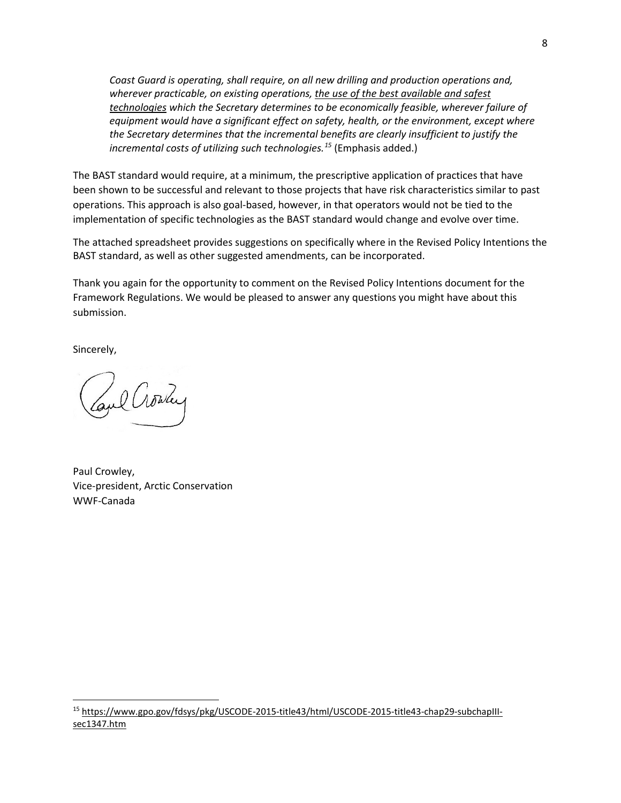*Coast Guard is operating, shall require, on all new drilling and production operations and, wherever practicable, on existing operations, the use of the best available and safest technologies which the Secretary determines to be economically feasible, wherever failure of equipment would have a significant effect on safety, health, or the environment, except where the Secretary determines that the incremental benefits are clearly insufficient to justify the incremental costs of utilizing such technologies.[15](#page-7-0)* (Emphasis added.)

The BAST standard would require, at a minimum, the prescriptive application of practices that have been shown to be successful and relevant to those projects that have risk characteristics similar to past operations. This approach is also goal-based, however, in that operators would not be tied to the implementation of specific technologies as the BAST standard would change and evolve over time.

The attached spreadsheet provides suggestions on specifically where in the Revised Policy Intentions the BAST standard, as well as other suggested amendments, can be incorporated.

Thank you again for the opportunity to comment on the Revised Policy Intentions document for the Framework Regulations. We would be pleased to answer any questions you might have about this submission.

Sincerely,

Coul Crowley

Paul Crowley, Vice-president, Arctic Conservation WWF-Canada

<span id="page-7-0"></span> 15 [https://www.gpo.gov/fdsys/pkg/USCODE-2015-title43/html/USCODE-2015-title43-chap29-subchapIII](https://www.gpo.gov/fdsys/pkg/USCODE-2015-title43/html/USCODE-2015-title43-chap29-subchapIII-sec1347.htm)[sec1347.htm](https://www.gpo.gov/fdsys/pkg/USCODE-2015-title43/html/USCODE-2015-title43-chap29-subchapIII-sec1347.htm)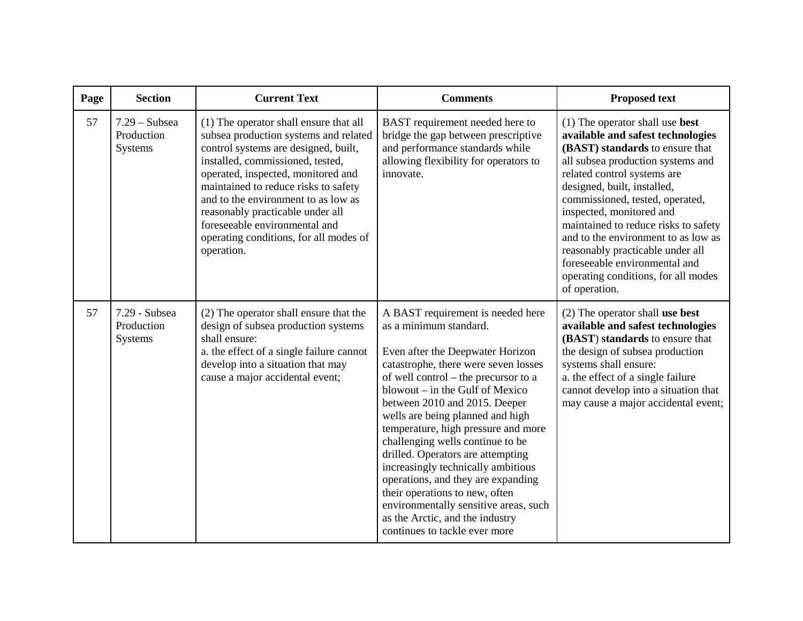| Page | <b>Section</b>                                  | <b>Current Text</b>                                                                                                                                                                                                                                                                                                                                                                                           | <b>Comments</b>                                                                                                                                                                                                                                                                                                                                                                                                                                                                                                                                                                                                                    | <b>Proposed text</b>                                                                                                                                                                                                                                                                                                                                                                                                                                                                           |
|------|-------------------------------------------------|---------------------------------------------------------------------------------------------------------------------------------------------------------------------------------------------------------------------------------------------------------------------------------------------------------------------------------------------------------------------------------------------------------------|------------------------------------------------------------------------------------------------------------------------------------------------------------------------------------------------------------------------------------------------------------------------------------------------------------------------------------------------------------------------------------------------------------------------------------------------------------------------------------------------------------------------------------------------------------------------------------------------------------------------------------|------------------------------------------------------------------------------------------------------------------------------------------------------------------------------------------------------------------------------------------------------------------------------------------------------------------------------------------------------------------------------------------------------------------------------------------------------------------------------------------------|
| 57   | $7.29$ – Subsea<br>Production<br><b>Systems</b> | (1) The operator shall ensure that all<br>subsea production systems and related<br>control systems are designed, built,<br>installed, commissioned, tested,<br>operated, inspected, monitored and<br>maintained to reduce risks to safety<br>and to the environment to as low as<br>reasonably practicable under all<br>foreseeable environmental and<br>operating conditions, for all modes of<br>operation. | BAST requirement needed here to<br>bridge the gap between prescriptive<br>and performance standards while<br>allowing flexibility for operators to<br>innovate.                                                                                                                                                                                                                                                                                                                                                                                                                                                                    | $(1)$ The operator shall use <b>best</b><br>available and safest technologies<br>(BAST) standards to ensure that<br>all subsea production systems and<br>related control systems are<br>designed, built, installed,<br>commissioned, tested, operated,<br>inspected, monitored and<br>maintained to reduce risks to safety<br>and to the environment to as low as<br>reasonably practicable under all<br>foreseeable environmental and<br>operating conditions, for all modes<br>of operation. |
| 57   | 7.29 - Subsea<br>Production<br><b>Systems</b>   | (2) The operator shall ensure that the<br>design of subsea production systems<br>shall ensure:<br>a. the effect of a single failure cannot<br>develop into a situation that may<br>cause a major accidental event;                                                                                                                                                                                            | A BAST requirement is needed here<br>as a minimum standard.<br>Even after the Deepwater Horizon<br>catastrophe, there were seven losses<br>of well control – the precursor to a<br>blowout – in the Gulf of Mexico<br>between 2010 and 2015. Deeper<br>wells are being planned and high<br>temperature, high pressure and more<br>challenging wells continue to be<br>drilled. Operators are attempting<br>increasingly technically ambitious<br>operations, and they are expanding<br>their operations to new, often<br>environmentally sensitive areas, such<br>as the Arctic, and the industry<br>continues to tackle ever more | $(2)$ The operator shall use best<br>available and safest technologies<br>(BAST) standards to ensure that<br>the design of subsea production<br>systems shall ensure:<br>a. the effect of a single failure<br>cannot develop into a situation that<br>may cause a major accidental event;                                                                                                                                                                                                      |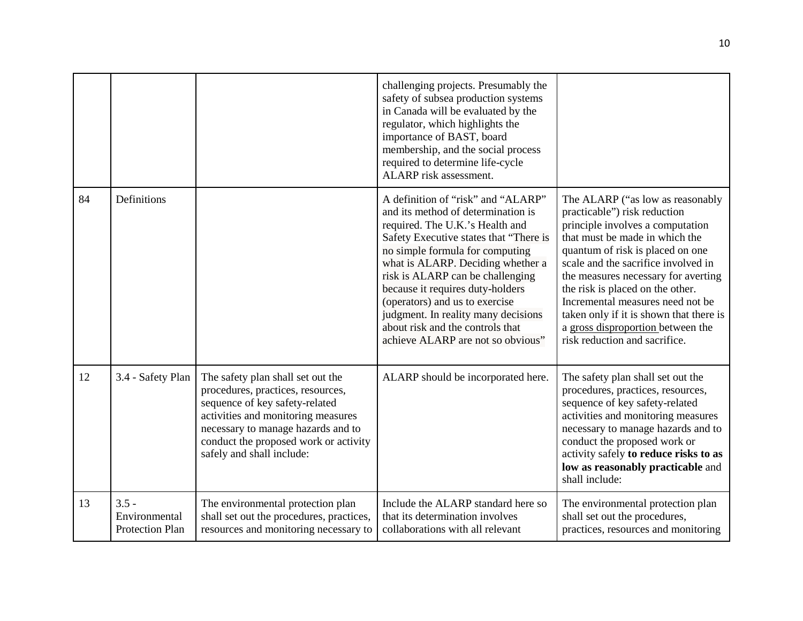|    |                                                    |                                                                                                                                                                                                                                                            | challenging projects. Presumably the<br>safety of subsea production systems<br>in Canada will be evaluated by the<br>regulator, which highlights the<br>importance of BAST, board<br>membership, and the social process<br>required to determine life-cycle<br>ALARP risk assessment.                                                                                                                                                                   |                                                                                                                                                                                                                                                                                                                                                                                                                                                   |
|----|----------------------------------------------------|------------------------------------------------------------------------------------------------------------------------------------------------------------------------------------------------------------------------------------------------------------|---------------------------------------------------------------------------------------------------------------------------------------------------------------------------------------------------------------------------------------------------------------------------------------------------------------------------------------------------------------------------------------------------------------------------------------------------------|---------------------------------------------------------------------------------------------------------------------------------------------------------------------------------------------------------------------------------------------------------------------------------------------------------------------------------------------------------------------------------------------------------------------------------------------------|
| 84 | Definitions                                        |                                                                                                                                                                                                                                                            | A definition of "risk" and "ALARP"<br>and its method of determination is<br>required. The U.K.'s Health and<br>Safety Executive states that "There is<br>no simple formula for computing<br>what is ALARP. Deciding whether a<br>risk is ALARP can be challenging<br>because it requires duty-holders<br>(operators) and us to exercise<br>judgment. In reality many decisions<br>about risk and the controls that<br>achieve ALARP are not so obvious" | The ALARP ("as low as reasonably<br>practicable") risk reduction<br>principle involves a computation<br>that must be made in which the<br>quantum of risk is placed on one<br>scale and the sacrifice involved in<br>the measures necessary for averting<br>the risk is placed on the other.<br>Incremental measures need not be<br>taken only if it is shown that there is<br>a gross disproportion between the<br>risk reduction and sacrifice. |
| 12 | 3.4 - Safety Plan                                  | The safety plan shall set out the<br>procedures, practices, resources,<br>sequence of key safety-related<br>activities and monitoring measures<br>necessary to manage hazards and to<br>conduct the proposed work or activity<br>safely and shall include: | ALARP should be incorporated here.                                                                                                                                                                                                                                                                                                                                                                                                                      | The safety plan shall set out the<br>procedures, practices, resources,<br>sequence of key safety-related<br>activities and monitoring measures<br>necessary to manage hazards and to<br>conduct the proposed work or<br>activity safely to reduce risks to as<br>low as reasonably practicable and<br>shall include:                                                                                                                              |
| 13 | $3.5 -$<br>Environmental<br><b>Protection Plan</b> | The environmental protection plan<br>shall set out the procedures, practices,<br>resources and monitoring necessary to                                                                                                                                     | Include the ALARP standard here so<br>that its determination involves<br>collaborations with all relevant                                                                                                                                                                                                                                                                                                                                               | The environmental protection plan<br>shall set out the procedures,<br>practices, resources and monitoring                                                                                                                                                                                                                                                                                                                                         |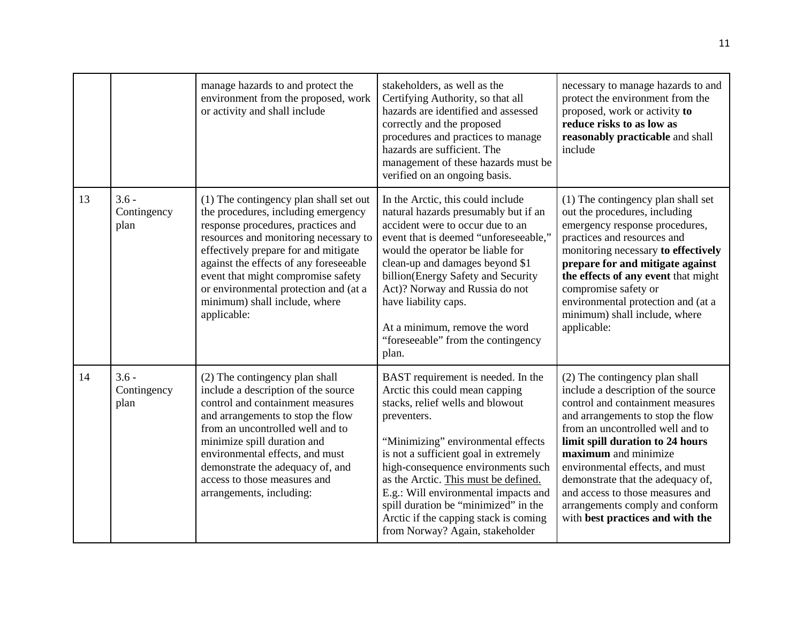|    |                                | manage hazards to and protect the<br>environment from the proposed, work<br>or activity and shall include                                                                                                                                                                                                                                                                     | stakeholders, as well as the<br>Certifying Authority, so that all<br>hazards are identified and assessed<br>correctly and the proposed<br>procedures and practices to manage<br>hazards are sufficient. The<br>management of these hazards must be<br>verified on an ongoing basis.                                                                                                                                                              | necessary to manage hazards to and<br>protect the environment from the<br>proposed, work or activity to<br>reduce risks to as low as<br>reasonably practicable and shall<br>include                                                                                                                                                                                                                                               |
|----|--------------------------------|-------------------------------------------------------------------------------------------------------------------------------------------------------------------------------------------------------------------------------------------------------------------------------------------------------------------------------------------------------------------------------|--------------------------------------------------------------------------------------------------------------------------------------------------------------------------------------------------------------------------------------------------------------------------------------------------------------------------------------------------------------------------------------------------------------------------------------------------|-----------------------------------------------------------------------------------------------------------------------------------------------------------------------------------------------------------------------------------------------------------------------------------------------------------------------------------------------------------------------------------------------------------------------------------|
| 13 | $3.6 -$<br>Contingency<br>plan | (1) The contingency plan shall set out<br>the procedures, including emergency<br>response procedures, practices and<br>resources and monitoring necessary to<br>effectively prepare for and mitigate<br>against the effects of any foreseeable<br>event that might compromise safety<br>or environmental protection and (at a<br>minimum) shall include, where<br>applicable: | In the Arctic, this could include<br>natural hazards presumably but if an<br>accident were to occur due to an<br>event that is deemed "unforeseeable,"<br>would the operator be liable for<br>clean-up and damages beyond \$1<br>billion(Energy Safety and Security<br>Act)? Norway and Russia do not<br>have liability caps.<br>At a minimum, remove the word<br>"foreseeable" from the contingency<br>plan.                                    | (1) The contingency plan shall set<br>out the procedures, including<br>emergency response procedures,<br>practices and resources and<br>monitoring necessary to effectively<br>prepare for and mitigate against<br>the effects of any event that might<br>compromise safety or<br>environmental protection and (at a<br>minimum) shall include, where<br>applicable:                                                              |
| 14 | $3.6 -$<br>Contingency<br>plan | (2) The contingency plan shall<br>include a description of the source<br>control and containment measures<br>and arrangements to stop the flow<br>from an uncontrolled well and to<br>minimize spill duration and<br>environmental effects, and must<br>demonstrate the adequacy of, and<br>access to those measures and<br>arrangements, including:                          | BAST requirement is needed. In the<br>Arctic this could mean capping<br>stacks, relief wells and blowout<br>preventers.<br>"Minimizing" environmental effects<br>is not a sufficient goal in extremely<br>high-consequence environments such<br>as the Arctic. This must be defined.<br>E.g.: Will environmental impacts and<br>spill duration be "minimized" in the<br>Arctic if the capping stack is coming<br>from Norway? Again, stakeholder | (2) The contingency plan shall<br>include a description of the source<br>control and containment measures<br>and arrangements to stop the flow<br>from an uncontrolled well and to<br>limit spill duration to 24 hours<br>maximum and minimize<br>environmental effects, and must<br>demonstrate that the adequacy of,<br>and access to those measures and<br>arrangements comply and conform<br>with best practices and with the |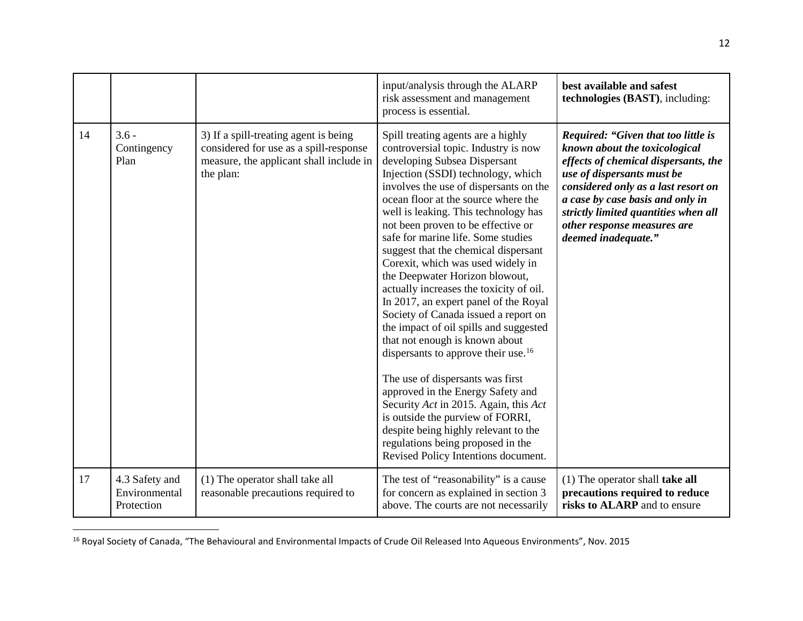<span id="page-11-0"></span>

|    |                                               |                                                                                                                                         | input/analysis through the ALARP<br>risk assessment and management<br>process is essential.                                                                                                                                                                                                                                                                                                                                                                                                                                                                                                                                                                                                                                                                                                                                                                                                                                                                                                               | best available and safest<br>technologies (BAST), including:                                                                                                                                                                                                                                                        |
|----|-----------------------------------------------|-----------------------------------------------------------------------------------------------------------------------------------------|-----------------------------------------------------------------------------------------------------------------------------------------------------------------------------------------------------------------------------------------------------------------------------------------------------------------------------------------------------------------------------------------------------------------------------------------------------------------------------------------------------------------------------------------------------------------------------------------------------------------------------------------------------------------------------------------------------------------------------------------------------------------------------------------------------------------------------------------------------------------------------------------------------------------------------------------------------------------------------------------------------------|---------------------------------------------------------------------------------------------------------------------------------------------------------------------------------------------------------------------------------------------------------------------------------------------------------------------|
| 14 | $3.6 -$<br>Contingency<br>Plan                | 3) If a spill-treating agent is being<br>considered for use as a spill-response<br>measure, the applicant shall include in<br>the plan: | Spill treating agents are a highly<br>controversial topic. Industry is now<br>developing Subsea Dispersant<br>Injection (SSDI) technology, which<br>involves the use of dispersants on the<br>ocean floor at the source where the<br>well is leaking. This technology has<br>not been proven to be effective or<br>safe for marine life. Some studies<br>suggest that the chemical dispersant<br>Corexit, which was used widely in<br>the Deepwater Horizon blowout,<br>actually increases the toxicity of oil.<br>In 2017, an expert panel of the Royal<br>Society of Canada issued a report on<br>the impact of oil spills and suggested<br>that not enough is known about<br>dispersants to approve their use. <sup>16</sup><br>The use of dispersants was first<br>approved in the Energy Safety and<br>Security Act in 2015. Again, this Act<br>is outside the purview of FORRI,<br>despite being highly relevant to the<br>regulations being proposed in the<br>Revised Policy Intentions document. | Required: "Given that too little is<br>known about the toxicological<br>effects of chemical dispersants, the<br>use of dispersants must be<br>considered only as a last resort on<br>a case by case basis and only in<br>strictly limited quantities when all<br>other response measures are<br>deemed inadequate." |
| 17 | 4.3 Safety and<br>Environmental<br>Protection | (1) The operator shall take all<br>reasonable precautions required to                                                                   | The test of "reasonability" is a cause<br>for concern as explained in section 3<br>above. The courts are not necessarily                                                                                                                                                                                                                                                                                                                                                                                                                                                                                                                                                                                                                                                                                                                                                                                                                                                                                  | $(1)$ The operator shall take all<br>precautions required to reduce<br>risks to ALARP and to ensure                                                                                                                                                                                                                 |

<sup>16</sup> Royal Society of Canada, "The Behavioural and Environmental Impacts of Crude Oil Released Into Aqueous Environments", Nov. 2015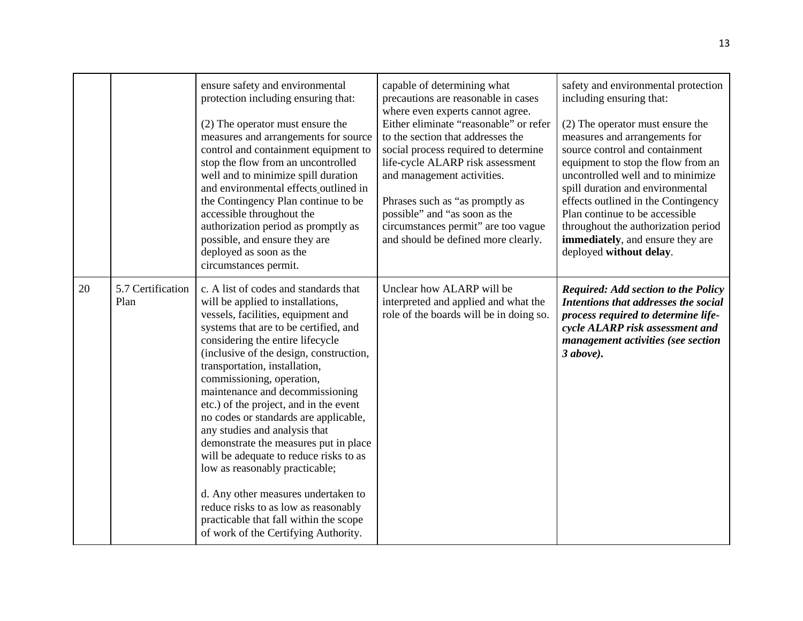|    |                           | ensure safety and environmental<br>protection including ensuring that:<br>(2) The operator must ensure the<br>measures and arrangements for source<br>control and containment equipment to<br>stop the flow from an uncontrolled<br>well and to minimize spill duration<br>and environmental effects outlined in<br>the Contingency Plan continue to be<br>accessible throughout the<br>authorization period as promptly as<br>possible, and ensure they are<br>deployed as soon as the<br>circumstances permit.                                                                                                                                                                                                                                    | capable of determining what<br>precautions are reasonable in cases<br>where even experts cannot agree.<br>Either eliminate "reasonable" or refer<br>to the section that addresses the<br>social process required to determine<br>life-cycle ALARP risk assessment<br>and management activities.<br>Phrases such as "as promptly as<br>possible" and "as soon as the<br>circumstances permit" are too vague<br>and should be defined more clearly. | safety and environmental protection<br>including ensuring that:<br>(2) The operator must ensure the<br>measures and arrangements for<br>source control and containment<br>equipment to stop the flow from an<br>uncontrolled well and to minimize<br>spill duration and environmental<br>effects outlined in the Contingency<br>Plan continue to be accessible<br>throughout the authorization period<br>immediately, and ensure they are<br>deployed without delay. |
|----|---------------------------|-----------------------------------------------------------------------------------------------------------------------------------------------------------------------------------------------------------------------------------------------------------------------------------------------------------------------------------------------------------------------------------------------------------------------------------------------------------------------------------------------------------------------------------------------------------------------------------------------------------------------------------------------------------------------------------------------------------------------------------------------------|---------------------------------------------------------------------------------------------------------------------------------------------------------------------------------------------------------------------------------------------------------------------------------------------------------------------------------------------------------------------------------------------------------------------------------------------------|----------------------------------------------------------------------------------------------------------------------------------------------------------------------------------------------------------------------------------------------------------------------------------------------------------------------------------------------------------------------------------------------------------------------------------------------------------------------|
| 20 | 5.7 Certification<br>Plan | c. A list of codes and standards that<br>will be applied to installations,<br>vessels, facilities, equipment and<br>systems that are to be certified, and<br>considering the entire lifecycle<br>(inclusive of the design, construction,<br>transportation, installation,<br>commissioning, operation,<br>maintenance and decommissioning<br>etc.) of the project, and in the event<br>no codes or standards are applicable,<br>any studies and analysis that<br>demonstrate the measures put in place<br>will be adequate to reduce risks to as<br>low as reasonably practicable;<br>d. Any other measures undertaken to<br>reduce risks to as low as reasonably<br>practicable that fall within the scope<br>of work of the Certifying Authority. | Unclear how ALARP will be<br>interpreted and applied and what the<br>role of the boards will be in doing so.                                                                                                                                                                                                                                                                                                                                      | <b>Required: Add section to the Policy</b><br>Intentions that addresses the social<br>process required to determine life-<br>cycle ALARP risk assessment and<br>management activities (see section<br>$3 above$ ).                                                                                                                                                                                                                                                   |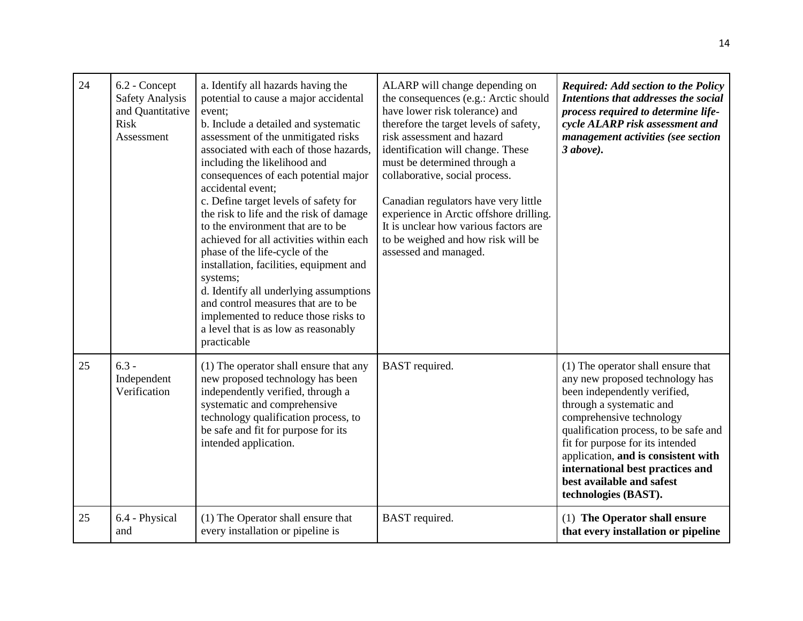| 24 | 6.2 - Concept<br><b>Safety Analysis</b><br>and Quantitative<br>Risk<br>Assessment | a. Identify all hazards having the<br>potential to cause a major accidental<br>event;<br>b. Include a detailed and systematic<br>assessment of the unmitigated risks<br>associated with each of those hazards,<br>including the likelihood and<br>consequences of each potential major<br>accidental event;<br>c. Define target levels of safety for<br>the risk to life and the risk of damage<br>to the environment that are to be<br>achieved for all activities within each<br>phase of the life-cycle of the<br>installation, facilities, equipment and<br>systems;<br>d. Identify all underlying assumptions<br>and control measures that are to be<br>implemented to reduce those risks to<br>a level that is as low as reasonably<br>practicable | ALARP will change depending on<br>the consequences (e.g.: Arctic should<br>have lower risk tolerance) and<br>therefore the target levels of safety,<br>risk assessment and hazard<br>identification will change. These<br>must be determined through a<br>collaborative, social process.<br>Canadian regulators have very little<br>experience in Arctic offshore drilling.<br>It is unclear how various factors are<br>to be weighed and how risk will be<br>assessed and managed. | <b>Required: Add section to the Policy</b><br>Intentions that addresses the social<br>process required to determine life-<br>cycle ALARP risk assessment and<br>management activities (see section<br>$3 above$ ).                                                                                                                                                         |
|----|-----------------------------------------------------------------------------------|----------------------------------------------------------------------------------------------------------------------------------------------------------------------------------------------------------------------------------------------------------------------------------------------------------------------------------------------------------------------------------------------------------------------------------------------------------------------------------------------------------------------------------------------------------------------------------------------------------------------------------------------------------------------------------------------------------------------------------------------------------|-------------------------------------------------------------------------------------------------------------------------------------------------------------------------------------------------------------------------------------------------------------------------------------------------------------------------------------------------------------------------------------------------------------------------------------------------------------------------------------|----------------------------------------------------------------------------------------------------------------------------------------------------------------------------------------------------------------------------------------------------------------------------------------------------------------------------------------------------------------------------|
| 25 | $6.3 -$<br>Independent<br>Verification                                            | (1) The operator shall ensure that any<br>new proposed technology has been<br>independently verified, through a<br>systematic and comprehensive<br>technology qualification process, to<br>be safe and fit for purpose for its<br>intended application.                                                                                                                                                                                                                                                                                                                                                                                                                                                                                                  | <b>BAST</b> required.                                                                                                                                                                                                                                                                                                                                                                                                                                                               | (1) The operator shall ensure that<br>any new proposed technology has<br>been independently verified,<br>through a systematic and<br>comprehensive technology<br>qualification process, to be safe and<br>fit for purpose for its intended<br>application, and is consistent with<br>international best practices and<br>best available and safest<br>technologies (BAST). |
| 25 | 6.4 - Physical<br>and                                                             | (1) The Operator shall ensure that<br>every installation or pipeline is                                                                                                                                                                                                                                                                                                                                                                                                                                                                                                                                                                                                                                                                                  | BAST required.                                                                                                                                                                                                                                                                                                                                                                                                                                                                      | (1) The Operator shall ensure<br>that every installation or pipeline                                                                                                                                                                                                                                                                                                       |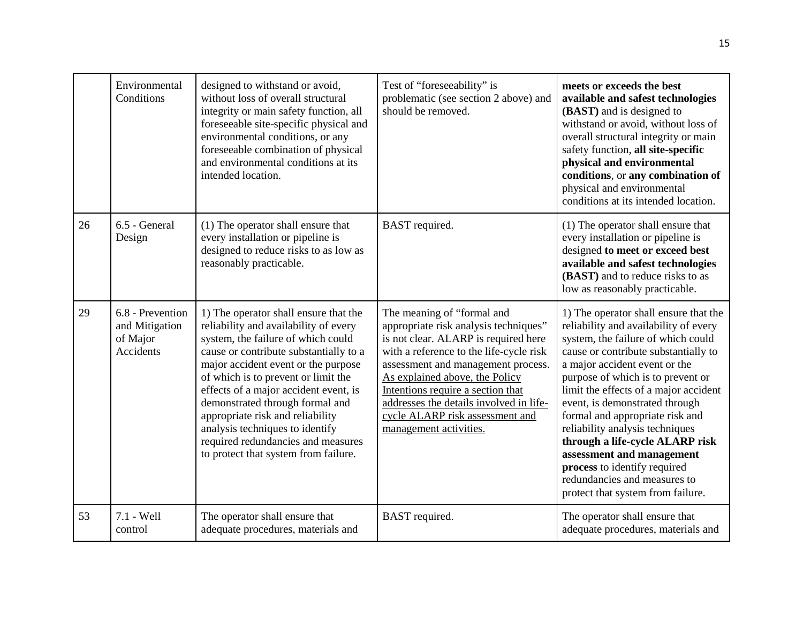|    | Environmental<br>Conditions                                 | designed to withstand or avoid,<br>without loss of overall structural<br>integrity or main safety function, all<br>foreseeable site-specific physical and<br>environmental conditions, or any<br>foreseeable combination of physical<br>and environmental conditions at its<br>intended location.                                                                                                                                                                             | Test of "foreseeability" is<br>problematic (see section 2 above) and<br>should be removed.                                                                                                                                                                                                                                                                                  | meets or exceeds the best<br>available and safest technologies<br>(BAST) and is designed to<br>withstand or avoid, without loss of<br>overall structural integrity or main<br>safety function, all site-specific<br>physical and environmental<br>conditions, or any combination of<br>physical and environmental<br>conditions at its intended location.                                                                                                                                                                                                |
|----|-------------------------------------------------------------|-------------------------------------------------------------------------------------------------------------------------------------------------------------------------------------------------------------------------------------------------------------------------------------------------------------------------------------------------------------------------------------------------------------------------------------------------------------------------------|-----------------------------------------------------------------------------------------------------------------------------------------------------------------------------------------------------------------------------------------------------------------------------------------------------------------------------------------------------------------------------|----------------------------------------------------------------------------------------------------------------------------------------------------------------------------------------------------------------------------------------------------------------------------------------------------------------------------------------------------------------------------------------------------------------------------------------------------------------------------------------------------------------------------------------------------------|
| 26 | 6.5 - General<br>Design                                     | (1) The operator shall ensure that<br>every installation or pipeline is<br>designed to reduce risks to as low as<br>reasonably practicable.                                                                                                                                                                                                                                                                                                                                   | <b>BAST</b> required.                                                                                                                                                                                                                                                                                                                                                       | (1) The operator shall ensure that<br>every installation or pipeline is<br>designed to meet or exceed best<br>available and safest technologies<br>(BAST) and to reduce risks to as<br>low as reasonably practicable.                                                                                                                                                                                                                                                                                                                                    |
| 29 | 6.8 - Prevention<br>and Mitigation<br>of Major<br>Accidents | 1) The operator shall ensure that the<br>reliability and availability of every<br>system, the failure of which could<br>cause or contribute substantially to a<br>major accident event or the purpose<br>of which is to prevent or limit the<br>effects of a major accident event, is<br>demonstrated through formal and<br>appropriate risk and reliability<br>analysis techniques to identify<br>required redundancies and measures<br>to protect that system from failure. | The meaning of "formal and<br>appropriate risk analysis techniques"<br>is not clear. ALARP is required here<br>with a reference to the life-cycle risk<br>assessment and management process.<br>As explained above, the Policy<br>Intentions require a section that<br>addresses the details involved in life-<br>cycle ALARP risk assessment and<br>management activities. | 1) The operator shall ensure that the<br>reliability and availability of every<br>system, the failure of which could<br>cause or contribute substantially to<br>a major accident event or the<br>purpose of which is to prevent or<br>limit the effects of a major accident<br>event, is demonstrated through<br>formal and appropriate risk and<br>reliability analysis techniques<br>through a life-cycle ALARP risk<br>assessment and management<br>process to identify required<br>redundancies and measures to<br>protect that system from failure. |
| 53 | 7.1 - Well<br>control                                       | The operator shall ensure that<br>adequate procedures, materials and                                                                                                                                                                                                                                                                                                                                                                                                          | BAST required.                                                                                                                                                                                                                                                                                                                                                              | The operator shall ensure that<br>adequate procedures, materials and                                                                                                                                                                                                                                                                                                                                                                                                                                                                                     |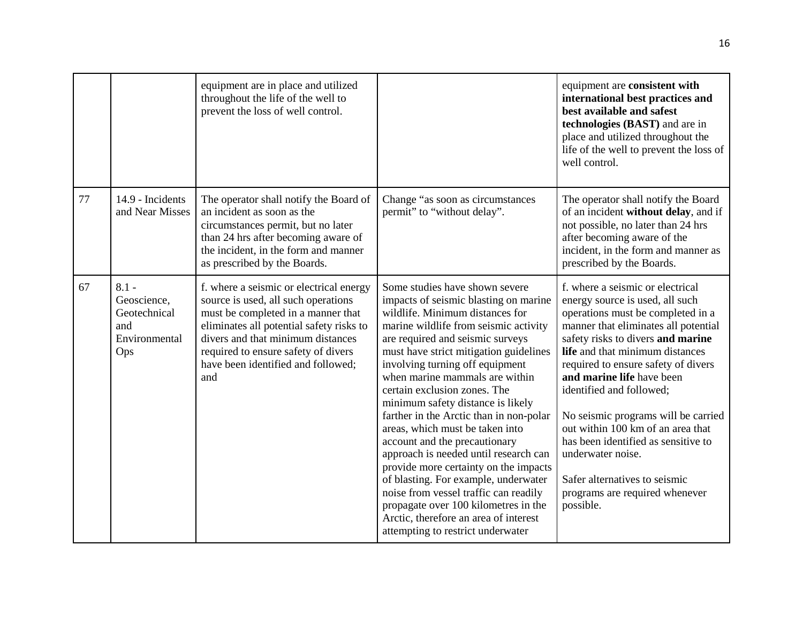|    |                                                                       | equipment are in place and utilized<br>throughout the life of the well to<br>prevent the loss of well control.                                                                                                                                                                            |                                                                                                                                                                                                                                                                                                                                                                                                                                                                                                                                                                                                                                                                                                                                                                                     | equipment are consistent with<br>international best practices and<br>best available and safest<br>technologies (BAST) and are in<br>place and utilized throughout the<br>life of the well to prevent the loss of<br>well control.                                                                                                                                                                                                                                                                                                                |
|----|-----------------------------------------------------------------------|-------------------------------------------------------------------------------------------------------------------------------------------------------------------------------------------------------------------------------------------------------------------------------------------|-------------------------------------------------------------------------------------------------------------------------------------------------------------------------------------------------------------------------------------------------------------------------------------------------------------------------------------------------------------------------------------------------------------------------------------------------------------------------------------------------------------------------------------------------------------------------------------------------------------------------------------------------------------------------------------------------------------------------------------------------------------------------------------|--------------------------------------------------------------------------------------------------------------------------------------------------------------------------------------------------------------------------------------------------------------------------------------------------------------------------------------------------------------------------------------------------------------------------------------------------------------------------------------------------------------------------------------------------|
| 77 | 14.9 - Incidents<br>and Near Misses                                   | The operator shall notify the Board of<br>an incident as soon as the<br>circumstances permit, but no later<br>than 24 hrs after becoming aware of<br>the incident, in the form and manner<br>as prescribed by the Boards.                                                                 | Change "as soon as circumstances<br>permit" to "without delay".                                                                                                                                                                                                                                                                                                                                                                                                                                                                                                                                                                                                                                                                                                                     | The operator shall notify the Board<br>of an incident without delay, and if<br>not possible, no later than 24 hrs<br>after becoming aware of the<br>incident, in the form and manner as<br>prescribed by the Boards.                                                                                                                                                                                                                                                                                                                             |
| 67 | $8.1 -$<br>Geoscience,<br>Geotechnical<br>and<br>Environmental<br>Ops | f. where a seismic or electrical energy<br>source is used, all such operations<br>must be completed in a manner that<br>eliminates all potential safety risks to<br>divers and that minimum distances<br>required to ensure safety of divers<br>have been identified and followed;<br>and | Some studies have shown severe<br>impacts of seismic blasting on marine<br>wildlife. Minimum distances for<br>marine wildlife from seismic activity<br>are required and seismic surveys<br>must have strict mitigation guidelines<br>involving turning off equipment<br>when marine mammals are within<br>certain exclusion zones. The<br>minimum safety distance is likely<br>farther in the Arctic than in non-polar<br>areas, which must be taken into<br>account and the precautionary<br>approach is needed until research can<br>provide more certainty on the impacts<br>of blasting. For example, underwater<br>noise from vessel traffic can readily<br>propagate over 100 kilometres in the<br>Arctic, therefore an area of interest<br>attempting to restrict underwater | f. where a seismic or electrical<br>energy source is used, all such<br>operations must be completed in a<br>manner that eliminates all potential<br>safety risks to divers and marine<br>life and that minimum distances<br>required to ensure safety of divers<br>and marine life have been<br>identified and followed;<br>No seismic programs will be carried<br>out within 100 km of an area that<br>has been identified as sensitive to<br>underwater noise.<br>Safer alternatives to seismic<br>programs are required whenever<br>possible. |